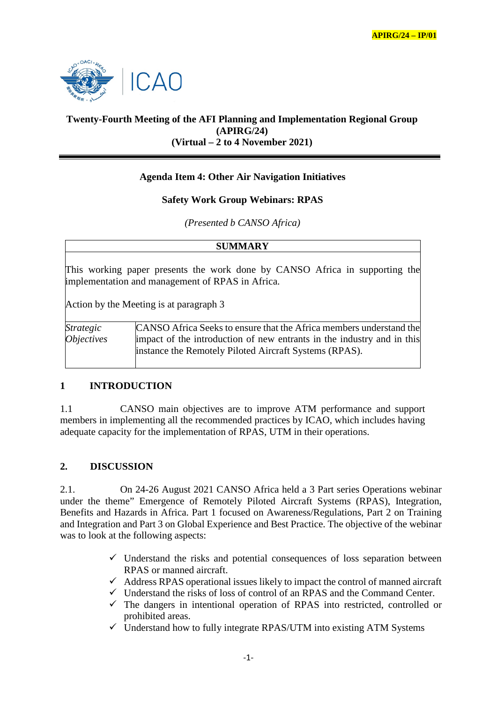

# **Twenty-Fourth Meeting of the AFI Planning and Implementation Regional Group (APIRG/24) (Virtual – 2 to 4 November 2021)**

## **Agenda Item 4: Other Air Navigation Initiatives**

### **Safety Work Group Webinars: RPAS**

*(Presented b CANSO Africa)*

| <b>SUMMARY</b>                                                                                                                  |                                                                                                                                                                                                         |
|---------------------------------------------------------------------------------------------------------------------------------|---------------------------------------------------------------------------------------------------------------------------------------------------------------------------------------------------------|
| This working paper presents the work done by CANSO Africa in supporting the<br>implementation and management of RPAS in Africa. |                                                                                                                                                                                                         |
|                                                                                                                                 | Action by the Meeting is at paragraph 3                                                                                                                                                                 |
| Strategic<br>Objectives                                                                                                         | CANSO Africa Seeks to ensure that the Africa members understand the<br>impact of the introduction of new entrants in the industry and in this<br>instance the Remotely Piloted Aircraft Systems (RPAS). |

#### **1 INTRODUCTION**

1.1 CANSO main objectives are to improve ATM performance and support members in implementing all the recommended practices by ICAO, which includes having adequate capacity for the implementation of RPAS, UTM in their operations.

## **2. DISCUSSION**

2.1. On 24-26 August 2021 CANSO Africa held a 3 Part series Operations webinar under the theme" Emergence of Remotely Piloted Aircraft Systems (RPAS), Integration, Benefits and Hazards in Africa. Part 1 focused on Awareness/Regulations, Part 2 on Training and Integration and Part 3 on Global Experience and Best Practice. The objective of the webinar was to look at the following aspects:

- $\checkmark$  Understand the risks and potential consequences of loss separation between RPAS or manned aircraft.
- $\checkmark$  Address RPAS operational issues likely to impact the control of manned aircraft
- $\checkmark$  Understand the risks of loss of control of an RPAS and the Command Center.
- $\checkmark$  The dangers in intentional operation of RPAS into restricted, controlled or prohibited areas.
- $\checkmark$  Understand how to fully integrate RPAS/UTM into existing ATM Systems